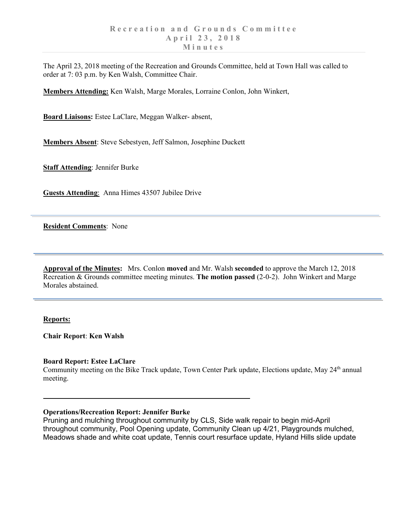The April 23, 2018 meeting of the Recreation and Grounds Committee, held at Town Hall was called to order at 7: 03 p.m. by Ken Walsh, Committee Chair.

**Members Attending:** Ken Walsh, Marge Morales, Lorraine Conlon, John Winkert,

**Board Liaisons:** Estee LaClare, Meggan Walker- absent,

**Members Absent**: Steve Sebestyen, Jeff Salmon, Josephine Duckett

**Staff Attending**: Jennifer Burke

**Guests Attending**: Anna Himes 43507 Jubilee Drive

**Resident Comments**: None

**Approval of the Minutes:** Mrs. Conlon **moved** and Mr. Walsh **seconded** to approve the March 12, 2018 Recreation & Grounds committee meeting minutes. **The motion passed** (2-0-2). John Winkert and Marge Morales abstained.

### **Reports:**

**Chair Report**: **Ken Walsh**

### **Board Report: Estee LaClare**

Community meeting on the Bike Track update, Town Center Park update, Elections update, May  $24<sup>th</sup>$  annual meeting.

## **Operations/Recreation Report: Jennifer Burke**

Pruning and mulching throughout community by CLS, Side walk repair to begin mid-April throughout community, Pool Opening update, Community Clean up 4/21, Playgrounds mulched, Meadows shade and white coat update, Tennis court resurface update, Hyland Hills slide update